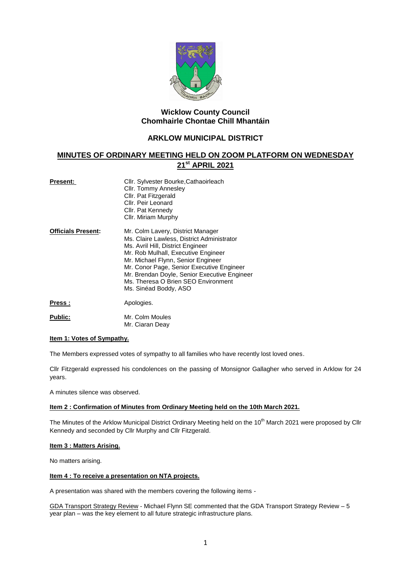

# **Wicklow County Council Chomhairle Chontae Chill Mhantáin**

# **ARKLOW MUNICIPAL DISTRICT**

# **MINUTES OF ORDINARY MEETING HELD ON ZOOM PLATFORM ON WEDNESDAY 21st APRIL 2021**

| <b>Present:</b>           | Cllr. Sylvester Bourke, Cathaoirleach<br>Cllr. Tommy Annesley<br>Cllr. Pat Fitzgerald<br>Cllr. Peir Leonard<br>Cllr. Pat Kennedy<br>Cllr. Miriam Murphy                                                                                                                                                                                                        |
|---------------------------|----------------------------------------------------------------------------------------------------------------------------------------------------------------------------------------------------------------------------------------------------------------------------------------------------------------------------------------------------------------|
| <b>Officials Present:</b> | Mr. Colm Lavery, District Manager<br>Ms. Claire Lawless, District Administrator<br>Ms. Avril Hill, District Engineer<br>Mr. Rob Mulhall, Executive Engineer<br>Mr. Michael Flynn, Senior Engineer<br>Mr. Conor Page, Senior Executive Engineer<br>Mr. Brendan Doyle, Senior Executive Engineer<br>Ms. Theresa O Brien SEO Environment<br>Ms. Sinéad Boddy, ASO |
| Press:                    | Apologies.                                                                                                                                                                                                                                                                                                                                                     |
| <b>Public:</b>            | Mr. Colm Moules                                                                                                                                                                                                                                                                                                                                                |

Mr. Ciaran Deay

# **Item 1: Votes of Sympathy.**

The Members expressed votes of sympathy to all families who have recently lost loved ones.

Cllr Fitzgerald expressed his condolences on the passing of Monsignor Gallagher who served in Arklow for 24 years.

A minutes silence was observed.

## **Item 2 : Confirmation of Minutes from Ordinary Meeting held on the 10th March 2021.**

The Minutes of the Arklow Municipal District Ordinary Meeting held on the 10<sup>th</sup> March 2021 were proposed by Cllr Kennedy and seconded by Cllr Murphy and Cllr Fitzgerald.

### **Item 3 : Matters Arising.**

No matters arising.

#### **Item 4 : To receive a presentation on NTA projects.**

A presentation was shared with the members covering the following items -

GDA Transport Strategy Review - Michael Flynn SE commented that the GDA Transport Strategy Review – 5 year plan – was the key element to all future strategic infrastructure plans.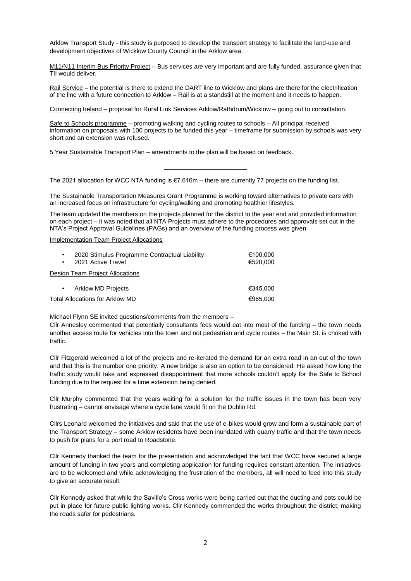Arklow Transport Study - this study is purposed to develop the transport strategy to facilitate the land-use and development objectives of Wicklow County Council in the Arklow area.

M11/N11 Interim Bus Priority Project - Bus services are very important and are fully funded, assurance given that TII would deliver.

Rail Service – the potential is there to extend the DART line to Wicklow and plans are there for the electrification of the line with a future connection to Arklow – Rail is at a standstill at the moment and it needs to happen.

Connecting Ireland – proposal for Rural Link Services Arklow/Rathdrum/Wicklow – going out to consultation.

Safe to Schools programme – promoting walking and cycling routes to schools – All principal received information on proposals with 100 projects to be funded this year – timeframe for submission by schools was very short and an extension was refused.

\_\_\_\_\_\_\_\_\_\_\_\_\_\_\_\_\_\_\_\_\_\_\_\_

5 Year Sustainable Transport Plan – amendments to the plan will be based on feedback.

The 2021 allocation for WCC NTA funding is €7.616m – there are currently 77 projects on the funding list.

The Sustainable Transportation Measures Grant Programme is working toward alternatives to private cars with an increased focus on infrastructure for cycling/walking and promoting healthier lifestyles.

The team updated the members on the projects planned for the district to the year end and provided information on each project – it was noted that all NTA Projects must adhere to the procedures and approvals set out in the NTA's Project Approval Guidelines (PAGs) and an overview of the funding process was given.

Implementation Team Project Allocations

| $\bullet$<br>$\bullet$          | 2020 Stimulus Programme Contractual Liability<br>2021 Active Travel | €100,000<br>€520,000 |
|---------------------------------|---------------------------------------------------------------------|----------------------|
|                                 | Design Team Project Allocations                                     |                      |
| ٠                               | <b>Arklow MD Projects</b>                                           | €345.000             |
| Total Allocations for Arklow MD |                                                                     | €965,000             |

Michael Flynn SE invited questions/comments from the members –

Cllr Annesley commented that potentially consultants fees would eat into most of the funding – the town needs another access route for vehicles into the town and not pedestrian and cycle routes – the Main St. is choked with traffic.

Cllr Fitzgerald welcomed a lot of the projects and re-iterated the demand for an extra road in an out of the town and that this is the number one priority. A new bridge is also an option to be considered. He asked how long the traffic study would take and expressed disappointment that more schools couldn't apply for the Safe to School funding due to the request for a time extension being denied.

Cllr Murphy commented that the years waiting for a solution for the traffic issues in the town has been very frustrating – cannot envisage where a cycle lane would fit on the Dublin Rd.

Cllrs Leonard welcomed the initiatives and said that the use of e-bikes would grow and form a sustainable part of the Transport Strategy – some Arklow residents have been inundated with quarry traffic and that the town needs to push for plans for a port road to Roadstone.

Cllr Kennedy thanked the team for the presentation and acknowledged the fact that WCC have secured a large amount of funding in two years and completing application for funding requires constant attention. The initiatives are to be welcomed and while acknowledging the frustration of the members, all will need to feed into this study to give an accurate result.

Cllr Kennedy asked that while the Saville's Cross works were being carried out that the ducting and pots could be put in place for future public lighting works. Cllr Kennedy commended the works throughout the district, making the roads safer for pedestrians.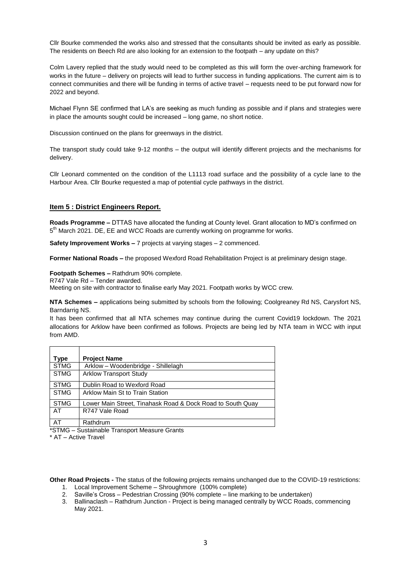Cllr Bourke commended the works also and stressed that the consultants should be invited as early as possible. The residents on Beech Rd are also looking for an extension to the footpath – any update on this?

Colm Lavery replied that the study would need to be completed as this will form the over-arching framework for works in the future – delivery on projects will lead to further success in funding applications. The current aim is to connect communities and there will be funding in terms of active travel – requests need to be put forward now for 2022 and beyond.

Michael Flynn SE confirmed that LA's are seeking as much funding as possible and if plans and strategies were in place the amounts sought could be increased – long game, no short notice.

Discussion continued on the plans for greenways in the district.

The transport study could take 9-12 months – the output will identify different projects and the mechanisms for delivery.

Cllr Leonard commented on the condition of the L1113 road surface and the possibility of a cycle lane to the Harbour Area. Cllr Bourke requested a map of potential cycle pathways in the district.

#### **Item 5 : District Engineers Report.**

**Roads Programme –** DTTAS have allocated the funding at County level. Grant allocation to MD's confirmed on 5<sup>th</sup> March 2021. DE, EE and WCC Roads are currently working on programme for works.

**Safety Improvement Works –** 7 projects at varying stages – 2 commenced.

**Former National Roads –** the proposed Wexford Road Rehabilitation Project is at preliminary design stage.

**Footpath Schemes –** Rathdrum 90% complete.

R747 Vale Rd – Tender awarded.

Meeting on site with contractor to finalise early May 2021. Footpath works by WCC crew.

**NTA Schemes –** applications being submitted by schools from the following; Coolgreaney Rd NS, Carysfort NS, Barndarrig NS.

It has been confirmed that all NTA schemes may continue during the current Covid19 lockdown. The 2021 allocations for Arklow have been confirmed as follows. Projects are being led by NTA team in WCC with input from AMD.

| Type        | <b>Project Name</b>                                        |
|-------------|------------------------------------------------------------|
| <b>STMG</b> | Arklow - Woodenbridge - Shillelagh                         |
| <b>STMG</b> | <b>Arklow Transport Study</b>                              |
| <b>STMG</b> | Dublin Road to Wexford Road                                |
| <b>STMG</b> | Arklow Main St to Train Station                            |
| <b>STMG</b> | Lower Main Street, Tinahask Road & Dock Road to South Quay |
| AT          | R747 Vale Road                                             |
| AT          | Rathdrum                                                   |

\*STMG – Sustainable Transport Measure Grants

\* AT – Active Travel

**Other Road Projects -** The status of the following projects remains unchanged due to the COVID-19 restrictions:

- 1. Local Improvement Scheme Shroughmore (100% complete)
- 2. Saville's Cross Pedestrian Crossing (90% complete line marking to be undertaken)
- 3. Ballinaclash Rathdrum Junction Project is being managed centrally by WCC Roads, commencing May 2021.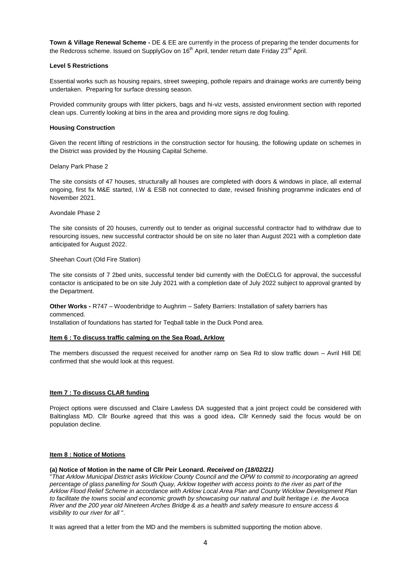**Town & Village Renewal Scheme -** DE & EE are currently in the process of preparing the tender documents for the Redcross scheme. Issued on SupplyGov on  $16<sup>th</sup>$  April, tender return date Friday 23<sup>rd</sup> April.

#### **Level 5 Restrictions**

Essential works such as housing repairs, street sweeping, pothole repairs and drainage works are currently being undertaken. Preparing for surface dressing season.

Provided community groups with litter pickers, bags and hi-viz vests, assisted environment section with reported clean ups. Currently looking at bins in the area and providing more signs re dog fouling.

#### **Housing Construction**

Given the recent lifting of restrictions in the construction sector for housing, the following update on schemes in the District was provided by the Housing Capital Scheme.

Delany Park Phase 2

The site consists of 47 houses, structurally all houses are completed with doors & windows in place, all external ongoing, first fix M&E started, I.W & ESB not connected to date, revised finishing programme indicates end of November 2021.

Avondale Phase 2

The site consists of 20 houses, currently out to tender as original successful contractor had to withdraw due to resourcing issues, new successful contractor should be on site no later than August 2021 with a completion date anticipated for August 2022.

Sheehan Court (Old Fire Station)

The site consists of 7 2bed units, successful tender bid currently with the DoECLG for approval, the successful contactor is anticipated to be on site July 2021 with a completion date of July 2022 subject to approval granted by the Department.

**Other Works -** R747 – Woodenbridge to Aughrim – Safety Barriers: Installation of safety barriers has commenced.

Installation of foundations has started for Teqball table in the Duck Pond area.

#### **Item 6 : To discuss traffic calming on the Sea Road, Arklow**

The members discussed the request received for another ramp on Sea Rd to slow traffic down – Avril Hill DE confirmed that she would look at this request.

## **Item 7 : To discuss CLAR funding**

Project options were discussed and Claire Lawless DA suggested that a joint project could be considered with Baltinglass MD. Cllr Bourke agreed that this was a good idea**.** Cllr Kennedy said the focus would be on population decline.

#### **Item 8 : Notice of Motions**

# **(a) Notice of Motion in the name of Cllr Peir Leonard.** *Received on (18/02/21)*

"*That Arklow Municipal District asks Wicklow County Council and the OPW to commit to incorporating an agreed percentage of glass panelling for South Quay, Arklow together with access points to the river as part of the Arklow Flood Relief Scheme in accordance with Arklow Local Area Plan and County Wicklow Development Plan to facilitate the towns social and economic growth by showcasing our natural and built heritage i.e. the Avoca River and the 200 year old Nineteen Arches Bridge & as a health and safety measure to ensure access & visibility to our river for all* ".

It was agreed that a letter from the MD and the members is submitted supporting the motion above.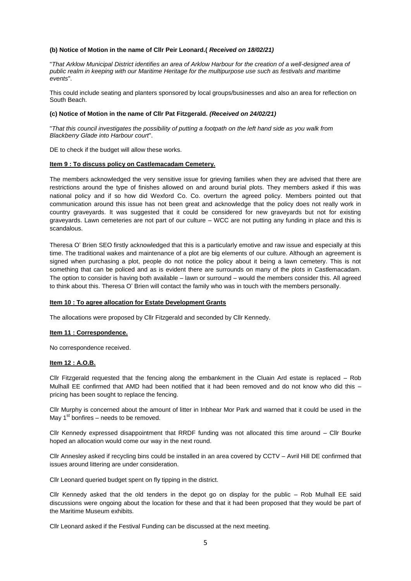#### **(b) Notice of Motion in the name of Cllr Peir Leonard.(** *Received on 18/02/21)*

"*That Arklow Municipal District identifies an area of Arklow Harbour for the creation of a well-designed area of public realm in keeping with our Maritime Heritage for the multipurpose use such as festivals and maritime events*".

This could include seating and planters sponsored by local groups/businesses and also an area for reflection on South Beach.

#### **(c) Notice of Motion in the name of Cllr Pat Fitzgerald.** *(Received on 24/02/21)*

"*That this council investigates the possibility of putting a footpath on the left hand side as you walk from Blackberry Glade into Harbour court*".

DE to check if the budget will allow these works.

#### **Item 9 : To discuss policy on Castlemacadam Cemetery.**

The members acknowledged the very sensitive issue for grieving families when they are advised that there are restrictions around the type of finishes allowed on and around burial plots. They members asked if this was national policy and if so how did Wexford Co. Co. overturn the agreed policy. Members pointed out that communication around this issue has not been great and acknowledge that the policy does not really work in country graveyards. It was suggested that it could be considered for new graveyards but not for existing graveyards. Lawn cemeteries are not part of our culture – WCC are not putting any funding in place and this is scandalous.

Theresa O' Brien SEO firstly acknowledged that this is a particularly emotive and raw issue and especially at this time. The traditional wakes and maintenance of a plot are big elements of our culture. Although an agreement is signed when purchasing a plot, people do not notice the policy about it being a lawn cemetery. This is not something that can be policed and as is evident there are surrounds on many of the plots in Castlemacadam. The option to consider is having both available – lawn or surround – would the members consider this. All agreed to think about this. Theresa O' Brien will contact the family who was in touch with the members personally.

#### **Item 10 : To agree allocation for Estate Development Grants**

The allocations were proposed by Cllr Fitzgerald and seconded by Cllr Kennedy.

#### **Item 11 : Correspondence.**

No correspondence received.

#### **Item 12 : A.O.B.**

Cllr Fitzgerald requested that the fencing along the embankment in the Cluain Ard estate is replaced – Rob Mulhall EE confirmed that AMD had been notified that it had been removed and do not know who did this – pricing has been sought to replace the fencing.

Cllr Murphy is concerned about the amount of litter in Inbhear Mor Park and warned that it could be used in the May  $1<sup>st</sup>$  bonfires – needs to be removed.

Cllr Kennedy expressed disappointment that RRDF funding was not allocated this time around – Cllr Bourke hoped an allocation would come our way in the next round.

Cllr Annesley asked if recycling bins could be installed in an area covered by CCTV – Avril Hill DE confirmed that issues around littering are under consideration.

Cllr Leonard queried budget spent on fly tipping in the district.

Cllr Kennedy asked that the old tenders in the depot go on display for the public – Rob Mulhall EE said discussions were ongoing about the location for these and that it had been proposed that they would be part of the Maritime Museum exhibits.

Cllr Leonard asked if the Festival Funding can be discussed at the next meeting.